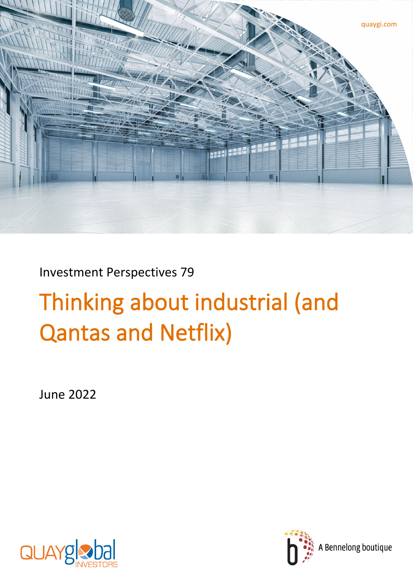

Investment Perspectives 79

# Thinking about industrial (and Qantas and Netflix)

June 2022



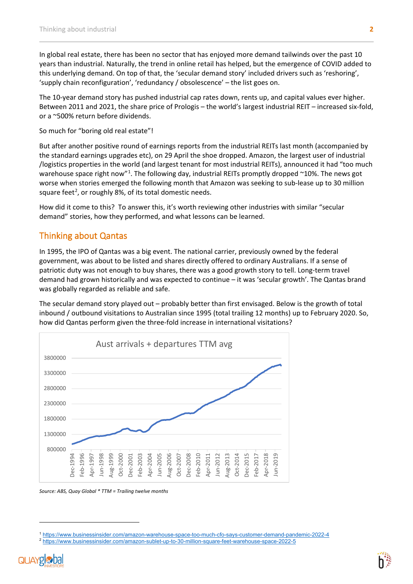In global real estate, there has been no sector that has enjoyed more demand tailwinds over the past 10 years than industrial. Naturally, the trend in online retail has helped, but the emergence of COVID added to this underlying demand. On top of that, the 'secular demand story' included drivers such as 'reshoring', 'supply chain reconfiguration', 'redundancy / obsolescence' – the list goes on.

The 10-year demand story has pushed industrial cap rates down, rents up, and capital values ever higher. Between 2011 and 2021, the share price of Prologis – the world's largest industrial REIT – increased six-fold, or a ~500% return before dividends.

So much for "boring old real estate"!

But after another positive round of earnings reports from the industrial REITs last month (accompanied by the standard earnings upgrades etc), on 29 April the shoe dropped. Amazon, the largest user of industrial /logistics properties in the world (and largest tenant for most industrial REITs), announced it had "too much warehouse space right now"<sup>[1](#page-1-0)</sup>. The following day, industrial REITs promptly dropped ~10%. The news got worse when stories emerged the following month that Amazon was seeking to sub-lease up to 30 million square feet<sup>[2](#page-1-1)</sup>, or roughly 8%, of its total domestic needs.

How did it come to this? To answer this, it's worth reviewing other industries with similar "secular demand" stories, how they performed, and what lessons can be learned.

## Thinking about Qantas

In 1995, the IPO of Qantas was a big event. The national carrier, previously owned by the federal government, was about to be listed and shares directly offered to ordinary Australians. If a sense of patriotic duty was not enough to buy shares, there was a good growth story to tell. Long-term travel demand had grown historically and was expected to continue – it was 'secular growth'. The Qantas brand was globally regarded as reliable and safe.

The secular demand story played out – probably better than first envisaged. Below is the growth of total inbound / outbound visitations to Australian since 1995 (total trailing 12 months) up to February 2020. So, how did Qantas perform given the three-fold increase in international visitations?



*Source: ABS, Quay Global \* TTM = Trailing twelve months* 

<span id="page-1-1"></span><span id="page-1-0"></span><sup>2</sup> <https://www.businessinsider.com/amazon-sublet-up-to-30-million-square-feet-warehouse-space-2022-5>



<sup>1</sup> <https://www.businessinsider.com/amazon-warehouse-space-too-much-cfo-says-customer-demand-pandemic-2022-4>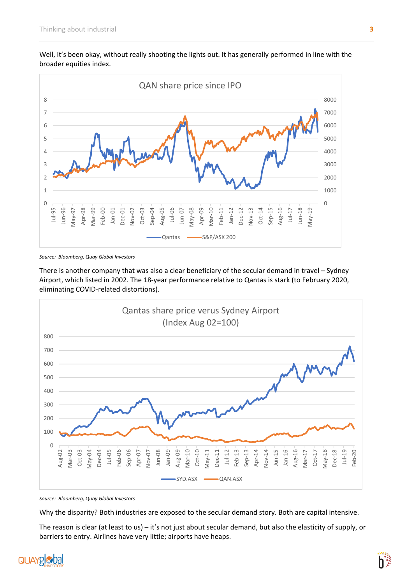

Well, it's been okay, without really shooting the lights out. It has generally performed in line with the broader equities index.

*Source: Bloomberg, Quay Global Investors*

There is another company that was also a clear beneficiary of the secular demand in travel – Sydney Airport, which listed in 2002. The 18-year performance relative to Qantas is stark (to February 2020, eliminating COVID-related distortions).



*Source: Bloomberg, Quay Global Investors* 

Why the disparity? Both industries are exposed to the secular demand story. Both are capital intensive.

The reason is clear (at least to us) – it's not just about secular demand, but also the elasticity of supply, or barriers to entry. Airlines have very little; airports have heaps.



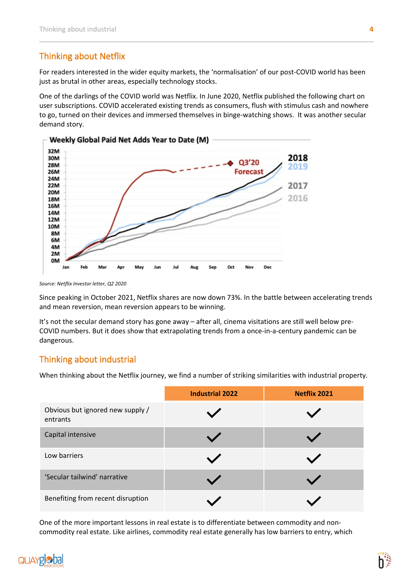### Thinking about Netflix

For readers interested in the wider equity markets, the 'normalisation' of our post-COVID world has been just as brutal in other areas, especially technology stocks.

One of the darlings of the COVID world was Netflix. In June 2020, Netflix published the following chart on user subscriptions. COVID accelerated existing trends as consumers, flush with stimulus cash and nowhere to go, turned on their devices and immersed themselves in binge-watching shows. It was another secular demand story.



*Source: Netflix Investor letter, Q2 2020*

Since peaking in October 2021, Netflix shares are now down 73%. In the battle between accelerating trends and mean reversion, mean reversion appears to be winning.

It's not the secular demand story has gone away – after all, cinema visitations are still well below pre-COVID numbers. But it does show that extrapolating trends from a once-in-a-century pandemic can be dangerous.

#### Thinking about industrial

When thinking about the Netflix journey, we find a number of striking similarities with industrial property.

|                                              | <b>Industrial 2022</b> | <b>Netflix 2021</b> |
|----------------------------------------------|------------------------|---------------------|
| Obvious but ignored new supply /<br>entrants |                        |                     |
| Capital intensive                            |                        |                     |
| Low barriers                                 |                        |                     |
| 'Secular tailwind' narrative                 |                        |                     |
| Benefiting from recent disruption            |                        |                     |

One of the more important lessons in real estate is to differentiate between commodity and noncommodity real estate. Like airlines, commodity real estate generally has low barriers to entry, which

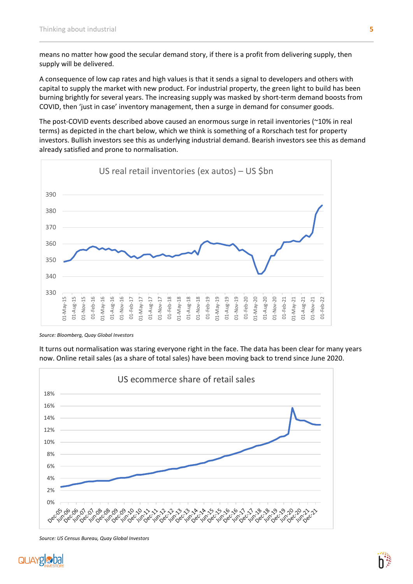means no matter how good the secular demand story, if there is a profit from delivering supply, then supply will be delivered.

A consequence of low cap rates and high values is that it sends a signal to developers and others with capital to supply the market with new product. For industrial property, the green light to build has been burning brightly for several years. The increasing supply was masked by short-term demand boosts from COVID, then 'just in case' inventory management, then a surge in demand for consumer goods.

The post-COVID events described above caused an enormous surge in retail inventories (~10% in real terms) as depicted in the chart below, which we think is something of a Rorschach test for property investors. Bullish investors see this as underlying industrial demand. Bearish investors see this as demand already satisfied and prone to normalisation.



*Source: Bloomberg, Quay Global Investors*

It turns out normalisation was staring everyone right in the face. The data has been clear for many years now. Online retail sales (as a share of total sales) have been moving back to trend since June 2020.



*Source: US Census Bureau, Quay Global Investors*



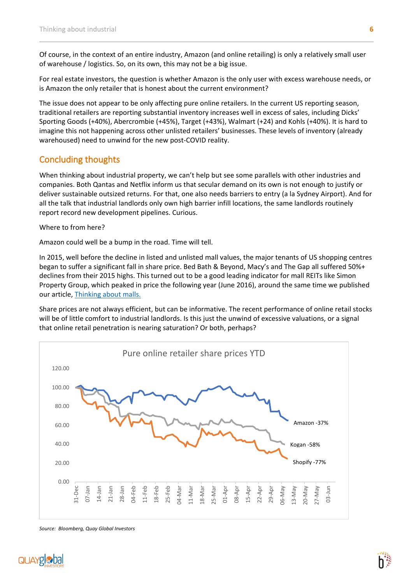Of course, in the context of an entire industry, Amazon (and online retailing) is only a relatively small user of warehouse / logistics. So, on its own, this may not be a big issue.

For real estate investors, the question is whether Amazon is the only user with excess warehouse needs, or is Amazon the only retailer that is honest about the current environment?

The issue does not appear to be only affecting pure online retailers. In the current US reporting season, traditional retailers are reporting substantial inventory increases well in excess of sales, including Dicks' Sporting Goods (+40%), Abercrombie (+45%), Target (+43%), Walmart (+24) and Kohls (+40%). It is hard to imagine this not happening across other unlisted retailers' businesses. These levels of inventory (already warehoused) need to unwind for the new post-COVID reality.

#### Concluding thoughts

When thinking about industrial property, we can't help but see some parallels with other industries and companies. Both Qantas and Netflix inform us that secular demand on its own is not enough to justify or deliver sustainable outsized returns. For that, one also needs barriers to entry (a la Sydney Airport). And for all the talk that industrial landlords only own high barrier infill locations, the same landlords routinely report record new development pipelines. Curious.

Where to from here?

Amazon could well be a bump in the road. Time will tell.

In 2015, well before the decline in listed and unlisted mall values, the major tenants of US shopping centres began to suffer a significant fall in share price. Bed Bath & Beyond, Macy's and The Gap all suffered 50%+ declines from their 2015 highs. This turned out to be a good leading indicator for mall REITs like Simon Property Group, which peaked in price the following year (June 2016), around the same time we published our article, [Thinking about malls.](https://www.quaygi.com/insights/articles/investment-perspectives-thinking-about-malls-shopping-centres)

Share prices are not always efficient, but can be informative. The recent performance of online retail stocks will be of little comfort to industrial landlords. Is this just the unwind of excessive valuations, or a signal that online retail penetration is nearing saturation? Or both, perhaps?



*Source: Bloomberg, Quay Global Investors*